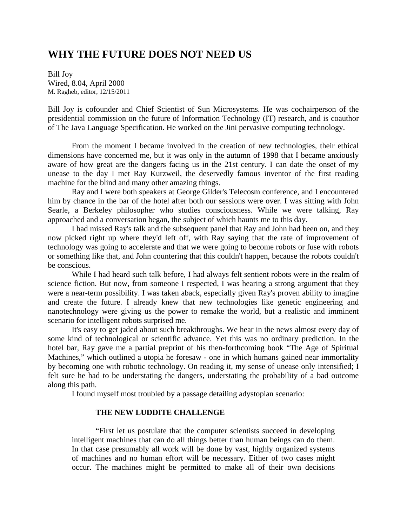## **WHY THE FUTURE DOES NOT NEED US**

Bill Joy Wired, 8.04, April 2000 M. Ragheb, editor, 12/15/2011

Bill Joy is cofounder and Chief Scientist of Sun Microsystems. He was cochairperson of the presidential commission on the future of Information Technology (IT) research, and is coauthor of The Java Language Specification. He worked on the Jini pervasive computing technology.

From the moment I became involved in the creation of new technologies, their ethical dimensions have concerned me, but it was only in the autumn of 1998 that I became anxiously aware of how great are the dangers facing us in the 21st century. I can date the onset of my unease to the day I met Ray Kurzweil, the deservedly famous inventor of the first reading machine for the blind and many other amazing things.

Ray and I were both speakers at George Gilder's Telecosm conference, and I encountered him by chance in the bar of the hotel after both our sessions were over. I was sitting with John Searle, a Berkeley philosopher who studies consciousness. While we were talking, Ray approached and a conversation began, the subject of which haunts me to this day.

I had missed Ray's talk and the subsequent panel that Ray and John had been on, and they now picked right up where they'd left off, with Ray saying that the rate of improvement of technology was going to accelerate and that we were going to become robots or fuse with robots or something like that, and John countering that this couldn't happen, because the robots couldn't be conscious.

While I had heard such talk before, I had always felt sentient robots were in the realm of science fiction. But now, from someone I respected, I was hearing a strong argument that they were a near-term possibility. I was taken aback, especially given Ray's proven ability to imagine and create the future. I already knew that new technologies like genetic engineering and nanotechnology were giving us the power to remake the world, but a realistic and imminent scenario for intelligent robots surprised me.

It's easy to get jaded about such breakthroughs. We hear in the news almost every day of some kind of technological or scientific advance. Yet this was no ordinary prediction. In the hotel bar, Ray gave me a partial preprint of his then-forthcoming book "The Age of Spiritual Machines," which outlined a utopia he foresaw - one in which humans gained near immortality by becoming one with robotic technology. On reading it, my sense of unease only intensified; I felt sure he had to be understating the dangers, understating the probability of a bad outcome along this path.

I found myself most troubled by a passage detailing adystopian scenario:

## **THE NEW LUDDITE CHALLENGE**

"First let us postulate that the computer scientists succeed in developing intelligent machines that can do all things better than human beings can do them. In that case presumably all work will be done by vast, highly organized systems of machines and no human effort will be necessary. Either of two cases might occur. The machines might be permitted to make all of their own decisions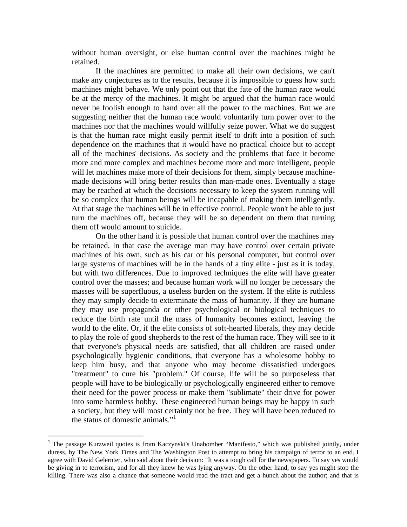without human oversight, or else human control over the machines might be retained.

If the machines are permitted to make all their own decisions, we can't make any conjectures as to the results, because it is impossible to guess how such machines might behave. We only point out that the fate of the human race would be at the mercy of the machines. It might be argued that the human race would never be foolish enough to hand over all the power to the machines. But we are suggesting neither that the human race would voluntarily turn power over to the machines nor that the machines would willfully seize power. What we do suggest is that the human race might easily permit itself to drift into a position of such dependence on the machines that it would have no practical choice but to accept all of the machines' decisions. As society and the problems that face it become more and more complex and machines become more and more intelligent, people will let machines make more of their decisions for them, simply because machinemade decisions will bring better results than man-made ones. Eventually a stage may be reached at which the decisions necessary to keep the system running will be so complex that human beings will be incapable of making them intelligently. At that stage the machines will be in effective control. People won't be able to just turn the machines off, because they will be so dependent on them that turning them off would amount to suicide.

On the other hand it is possible that human control over the machines may be retained. In that case the average man may have control over certain private machines of his own, such as his car or his personal computer, but control over large systems of machines will be in the hands of a tiny elite - just as it is today, but with two differences. Due to improved techniques the elite will have greater control over the masses; and because human work will no longer be necessary the masses will be superfluous, a useless burden on the system. If the elite is ruthless they may simply decide to exterminate the mass of humanity. If they are humane they may use propaganda or other psychological or biological techniques to reduce the birth rate until the mass of humanity becomes extinct, leaving the world to the elite. Or, if the elite consists of soft-hearted liberals, they may decide to play the role of good shepherds to the rest of the human race. They will see to it that everyone's physical needs are satisfied, that all children are raised under psychologically hygienic conditions, that everyone has a wholesome hobby to keep him busy, and that anyone who may become dissatisfied undergoes "treatment" to cure his "problem." Of course, life will be so purposeless that people will have to be biologically or psychologically engineered either to remove their need for the power process or make them "sublimate" their drive for power into some harmless hobby. These engineered human beings may be happy in such a society, but they will most certainly not be free. They will have been reduced to the status of domestic animals." 1

<sup>&</sup>lt;sup>1</sup> The passage Kurzweil quotes is from Kaczynski's Unabomber "Manifesto," which was published jointly, under duress, by The New York Times and The Washington Post to attempt to bring his campaign of terror to an end. I agree with David Gelernter, who said about their decision: "It was a tough call for the newspapers. To say yes would be giving in to terrorism, and for all they knew he was lying anyway. On the other hand, to say yes might stop the killing. There was also a chance that someone would read the tract and get a hunch about the author; and that is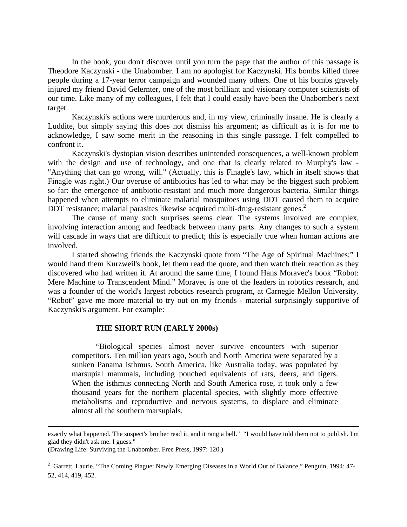In the book, you don't discover until you turn the page that the author of this passage is Theodore Kaczynski - the Unabomber. I am no apologist for Kaczynski. His bombs killed three people during a 17-year terror campaign and wounded many others. One of his bombs gravely injured my friend David Gelernter, one of the most brilliant and visionary computer scientists of our time. Like many of my colleagues, I felt that I could easily have been the Unabomber's next target.

Kaczynski's actions were murderous and, in my view, criminally insane. He is clearly a Luddite, but simply saying this does not dismiss his argument; as difficult as it is for me to acknowledge, I saw some merit in the reasoning in this single passage. I felt compelled to confront it.

Kaczynski's dystopian vision describes unintended consequences, a well-known problem with the design and use of technology, and one that is clearly related to Murphy's law - "Anything that can go wrong, will." (Actually, this is Finagle's law, which in itself shows that Finagle was right.) Our overuse of antibiotics has led to what may be the biggest such problem so far: the emergence of antibiotic-resistant and much more dangerous bacteria. Similar things happened when attempts to eliminate malarial mosquitoes using DDT caused them to acquire DDT resistance; malarial parasites likewise acquired multi-drug-resistant genes.<sup>2</sup>

The cause of many such surprises seems clear: The systems involved are complex, involving interaction among and feedback between many parts. Any changes to such a system will cascade in ways that are difficult to predict; this is especially true when human actions are involved.

I started showing friends the Kaczynski quote from "The Age of Spiritual Machines;" I would hand them Kurzweil's book, let them read the quote, and then watch their reaction as they discovered who had written it. At around the same time, I found Hans Moravec's book "Robot: Mere Machine to Transcendent Mind." Moravec is one of the leaders in robotics research, and was a founder of the world's largest robotics research program, at Carnegie Mellon University. "Robot" gave me more material to try out on my friends - material surprisingly supportive of Kaczynski's argument. For example:

## **THE SHORT RUN (EARLY 2000s)**

"Biological species almost never survive encounters with superior competitors. Ten million years ago, South and North America were separated by a sunken Panama isthmus. South America, like Australia today, was populated by marsupial mammals, including pouched equivalents of rats, deers, and tigers. When the isthmus connecting North and South America rose, it took only a few thousand years for the northern placental species, with slightly more effective metabolisms and reproductive and nervous systems, to displace and eliminate almost all the southern marsupials.

exactly what happened. The suspect's brother read it, and it rang a bell." "I would have told them not to publish. I'm glad they didn't ask me. I guess."

<sup>(</sup>Drawing Life: Surviving the Unabomber. Free Press, 1997: 120.)

<sup>&</sup>lt;sup>2</sup> Garrett, Laurie. "The Coming Plague: Newly Emerging Diseases in a World Out of Balance," Penguin, 1994: 47-52, 414, 419, 452.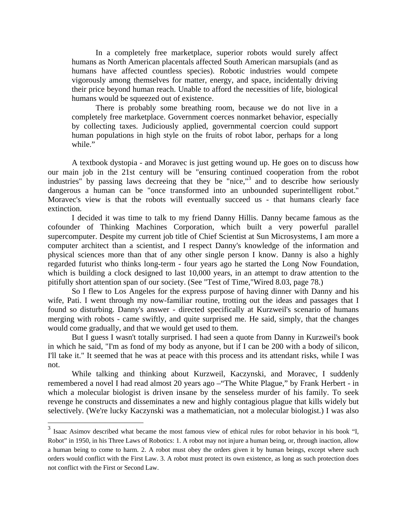In a completely free marketplace, superior robots would surely affect humans as North American placentals affected South American marsupials (and as humans have affected countless species). Robotic industries would compete vigorously among themselves for matter, energy, and space, incidentally driving their price beyond human reach. Unable to afford the necessities of life, biological humans would be squeezed out of existence.

There is probably some breathing room, because we do not live in a completely free marketplace. Government coerces nonmarket behavior, especially by collecting taxes. Judiciously applied, governmental coercion could support human populations in high style on the fruits of robot labor, perhaps for a long while."

A textbook dystopia - and Moravec is just getting wound up. He goes on to discuss how our main job in the 21st century will be "ensuring continued cooperation from the robot industries" by passing laws decreeing that they be "nice,"<sup>3</sup> and to describe how seriously dangerous a human can be "once transformed into an unbounded superintelligent robot." Moravec's view is that the robots will eventually succeed us - that humans clearly face extinction.

I decided it was time to talk to my friend Danny Hillis. Danny became famous as the cofounder of Thinking Machines Corporation, which built a very powerful parallel supercomputer. Despite my current job title of Chief Scientist at Sun Microsystems, I am more a computer architect than a scientist, and I respect Danny's knowledge of the information and physical sciences more than that of any other single person I know. Danny is also a highly regarded futurist who thinks long-term - four years ago he started the Long Now Foundation, which is building a clock designed to last 10,000 years, in an attempt to draw attention to the pitifully short attention span of our society. (See "Test of Time,"Wired 8.03, page 78.)

So I flew to Los Angeles for the express purpose of having dinner with Danny and his wife, Pati. I went through my now-familiar routine, trotting out the ideas and passages that I found so disturbing. Danny's answer - directed specifically at Kurzweil's scenario of humans merging with robots - came swiftly, and quite surprised me. He said, simply, that the changes would come gradually, and that we would get used to them.

But I guess I wasn't totally surprised. I had seen a quote from Danny in Kurzweil's book in which he said, "I'm as fond of my body as anyone, but if I can be 200 with a body of silicon, I'll take it." It seemed that he was at peace with this process and its attendant risks, while I was not.

While talking and thinking about Kurzweil, Kaczynski, and Moravec, I suddenly remembered a novel I had read almost 20 years ago –"The White Plague," by Frank Herbert - in which a molecular biologist is driven insane by the senseless murder of his family. To seek revenge he constructs and disseminates a new and highly contagious plague that kills widely but selectively. (We're lucky Kaczynski was a mathematician, not a molecular biologist.) I was also

<sup>&</sup>lt;sup>3</sup> Isaac Asimov described what became the most famous view of ethical rules for robot behavior in his book "I, Robot" in 1950, in his Three Laws of Robotics: 1. A robot may not injure a human being, or, through inaction, allow a human being to come to harm. 2. A robot must obey the orders given it by human beings, except where such orders would conflict with the First Law. 3. A robot must protect its own existence, as long as such protection does not conflict with the First or Second Law.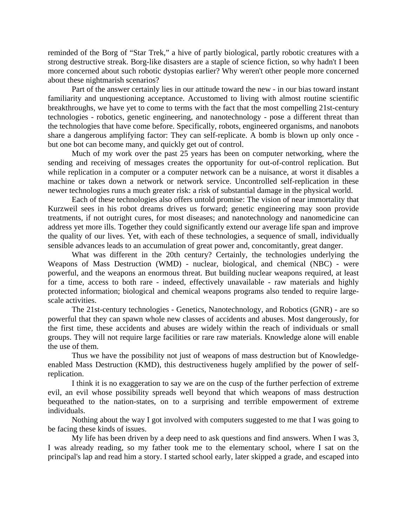reminded of the Borg of "Star Trek," a hive of partly biological, partly robotic creatures with a strong destructive streak. Borg-like disasters are a staple of science fiction, so why hadn't I been more concerned about such robotic dystopias earlier? Why weren't other people more concerned about these nightmarish scenarios?

Part of the answer certainly lies in our attitude toward the new - in our bias toward instant familiarity and unquestioning acceptance. Accustomed to living with almost routine scientific breakthroughs, we have yet to come to terms with the fact that the most compelling 21st-century technologies - robotics, genetic engineering, and nanotechnology - pose a different threat than the technologies that have come before. Specifically, robots, engineered organisms, and nanobots share a dangerous amplifying factor: They can self-replicate. A bomb is blown up only once but one bot can become many, and quickly get out of control.

Much of my work over the past 25 years has been on computer networking, where the sending and receiving of messages creates the opportunity for out-of-control replication. But while replication in a computer or a computer network can be a nuisance, at worst it disables a machine or takes down a network or network service. Uncontrolled self-replication in these newer technologies runs a much greater risk: a risk of substantial damage in the physical world.

Each of these technologies also offers untold promise: The vision of near immortality that Kurzweil sees in his robot dreams drives us forward; genetic engineering may soon provide treatments, if not outright cures, for most diseases; and nanotechnology and nanomedicine can address yet more ills. Together they could significantly extend our average life span and improve the quality of our lives. Yet, with each of these technologies, a sequence of small, individually sensible advances leads to an accumulation of great power and, concomitantly, great danger.

What was different in the 20th century? Certainly, the technologies underlying the Weapons of Mass Destruction (WMD) - nuclear, biological, and chemical (NBC) - were powerful, and the weapons an enormous threat. But building nuclear weapons required, at least for a time, access to both rare - indeed, effectively unavailable - raw materials and highly protected information; biological and chemical weapons programs also tended to require largescale activities.

The 21st-century technologies - Genetics, Nanotechnology, and Robotics (GNR) - are so powerful that they can spawn whole new classes of accidents and abuses. Most dangerously, for the first time, these accidents and abuses are widely within the reach of individuals or small groups. They will not require large facilities or rare raw materials. Knowledge alone will enable the use of them.

Thus we have the possibility not just of weapons of mass destruction but of Knowledgeenabled Mass Destruction (KMD), this destructiveness hugely amplified by the power of selfreplication.

I think it is no exaggeration to say we are on the cusp of the further perfection of extreme evil, an evil whose possibility spreads well beyond that which weapons of mass destruction bequeathed to the nation-states, on to a surprising and terrible empowerment of extreme individuals.

Nothing about the way I got involved with computers suggested to me that I was going to be facing these kinds of issues.

My life has been driven by a deep need to ask questions and find answers. When I was 3, I was already reading, so my father took me to the elementary school, where I sat on the principal's lap and read him a story. I started school early, later skipped a grade, and escaped into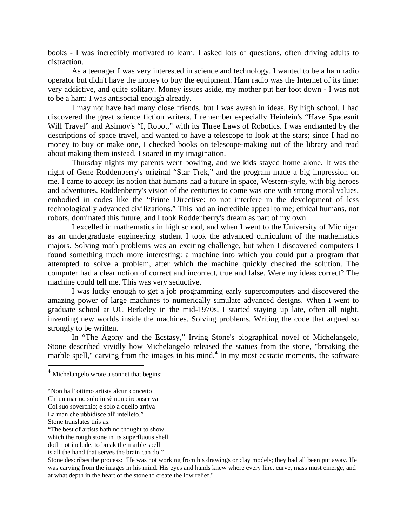books - I was incredibly motivated to learn. I asked lots of questions, often driving adults to distraction.

As a teenager I was very interested in science and technology. I wanted to be a ham radio operator but didn't have the money to buy the equipment. Ham radio was the Internet of its time: very addictive, and quite solitary. Money issues aside, my mother put her foot down - I was not to be a ham; I was antisocial enough already.

I may not have had many close friends, but I was awash in ideas. By high school, I had discovered the great science fiction writers. I remember especially Heinlein's "Have Spacesuit Will Travel" and Asimov's "I, Robot," with its Three Laws of Robotics. I was enchanted by the descriptions of space travel, and wanted to have a telescope to look at the stars; since I had no money to buy or make one, I checked books on telescope-making out of the library and read about making them instead. I soared in my imagination.

Thursday nights my parents went bowling, and we kids stayed home alone. It was the night of Gene Roddenberry's original "Star Trek," and the program made a big impression on me. I came to accept its notion that humans had a future in space, Western-style, with big heroes and adventures. Roddenberry's vision of the centuries to come was one with strong moral values, embodied in codes like the "Prime Directive: to not interfere in the development of less technologically advanced civilizations." This had an incredible appeal to me; ethical humans, not robots, dominated this future, and I took Roddenberry's dream as part of my own.

I excelled in mathematics in high school, and when I went to the University of Michigan as an undergraduate engineering student I took the advanced curriculum of the mathematics majors. Solving math problems was an exciting challenge, but when I discovered computers I found something much more interesting: a machine into which you could put a program that attempted to solve a problem, after which the machine quickly checked the solution. The computer had a clear notion of correct and incorrect, true and false. Were my ideas correct? The machine could tell me. This was very seductive.

I was lucky enough to get a job programming early supercomputers and discovered the amazing power of large machines to numerically simulate advanced designs. When I went to graduate school at UC Berkeley in the mid-1970s, I started staying up late, often all night, inventing new worlds inside the machines. Solving problems. Writing the code that argued so strongly to be written.

In "The Agony and the Ecstasy," Irving Stone's biographical novel of Michelangelo, Stone described vividly how Michelangelo released the statues from the stone, "breaking the marble spell," carving from the images in his mind. $4 \text{ In }$  my most ecstatic moments, the software

l

<sup>&</sup>lt;sup>4</sup> Michelangelo wrote a sonnet that begins:

<sup>&</sup>quot;Non ha l' ottimo artista alcun concetto

Ch' un marmo solo in sè non circonscriva

Col suo soverchio; e solo a quello arriva

La man che ubbidisce all' intelleto."

Stone translates this as:

<sup>&</sup>quot;The best of artists hath no thought to show

which the rough stone in its superfluous shell

doth not include; to break the marble spell

is all the hand that serves the brain can do."

Stone describes the process: "He was not working from his drawings or clay models; they had all been put away. He was carving from the images in his mind. His eyes and hands knew where every line, curve, mass must emerge, and at what depth in the heart of the stone to create the low relief."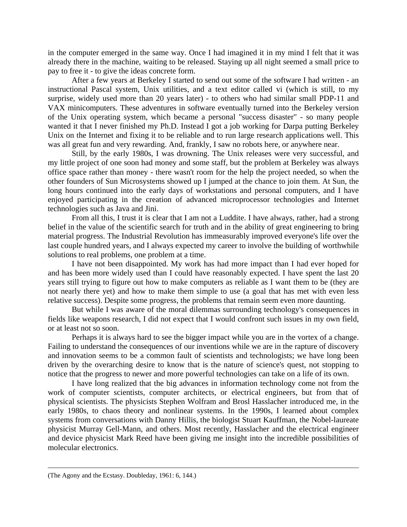in the computer emerged in the same way. Once I had imagined it in my mind I felt that it was already there in the machine, waiting to be released. Staying up all night seemed a small price to pay to free it - to give the ideas concrete form.

After a few years at Berkeley I started to send out some of the software I had written - an instructional Pascal system, Unix utilities, and a text editor called vi (which is still, to my surprise, widely used more than 20 years later) - to others who had similar small PDP-11 and VAX minicomputers. These adventures in software eventually turned into the Berkeley version of the Unix operating system, which became a personal "success disaster" - so many people wanted it that I never finished my Ph.D. Instead I got a job working for Darpa putting Berkeley Unix on the Internet and fixing it to be reliable and to run large research applications well. This was all great fun and very rewarding. And, frankly, I saw no robots here, or anywhere near.

Still, by the early 1980s, I was drowning. The Unix releases were very successful, and my little project of one soon had money and some staff, but the problem at Berkeley was always office space rather than money - there wasn't room for the help the project needed, so when the other founders of Sun Microsystems showed up I jumped at the chance to join them. At Sun, the long hours continued into the early days of workstations and personal computers, and I have enjoyed participating in the creation of advanced microprocessor technologies and Internet technologies such as Java and Jini.

From all this, I trust it is clear that I am not a Luddite. I have always, rather, had a strong belief in the value of the scientific search for truth and in the ability of great engineering to bring material progress. The Industrial Revolution has immeasurably improved everyone's life over the last couple hundred years, and I always expected my career to involve the building of worthwhile solutions to real problems, one problem at a time.

I have not been disappointed. My work has had more impact than I had ever hoped for and has been more widely used than I could have reasonably expected. I have spent the last 20 years still trying to figure out how to make computers as reliable as I want them to be (they are not nearly there yet) and how to make them simple to use (a goal that has met with even less relative success). Despite some progress, the problems that remain seem even more daunting.

But while I was aware of the moral dilemmas surrounding technology's consequences in fields like weapons research, I did not expect that I would confront such issues in my own field, or at least not so soon.

Perhaps it is always hard to see the bigger impact while you are in the vortex of a change. Failing to understand the consequences of our inventions while we are in the rapture of discovery and innovation seems to be a common fault of scientists and technologists; we have long been driven by the overarching desire to know that is the nature of science's quest, not stopping to notice that the progress to newer and more powerful technologies can take on a life of its own.

I have long realized that the big advances in information technology come not from the work of computer scientists, computer architects, or electrical engineers, but from that of physical scientists. The physicists Stephen Wolfram and Brosl Hasslacher introduced me, in the early 1980s, to chaos theory and nonlinear systems. In the 1990s, I learned about complex systems from conversations with Danny Hillis, the biologist Stuart Kauffman, the Nobel-laureate physicist Murray Gell-Mann, and others. Most recently, Hasslacher and the electrical engineer and device physicist Mark Reed have been giving me insight into the incredible possibilities of molecular electronics.

<sup>(</sup>The Agony and the Ecstasy. Doubleday, 1961: 6, 144.)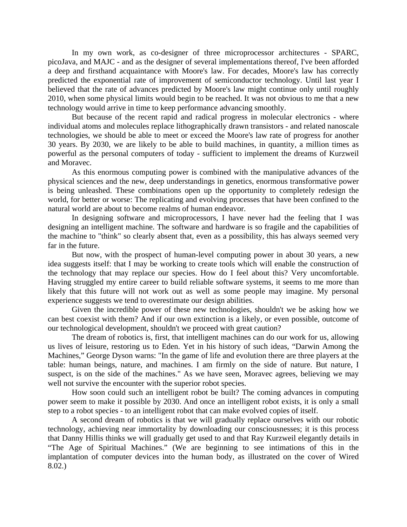In my own work, as co-designer of three microprocessor architectures - SPARC, picoJava, and MAJC - and as the designer of several implementations thereof, I've been afforded a deep and firsthand acquaintance with Moore's law. For decades, Moore's law has correctly predicted the exponential rate of improvement of semiconductor technology. Until last year I believed that the rate of advances predicted by Moore's law might continue only until roughly 2010, when some physical limits would begin to be reached. It was not obvious to me that a new technology would arrive in time to keep performance advancing smoothly.

But because of the recent rapid and radical progress in molecular electronics - where individual atoms and molecules replace lithographically drawn transistors - and related nanoscale technologies, we should be able to meet or exceed the Moore's law rate of progress for another 30 years. By 2030, we are likely to be able to build machines, in quantity, a million times as powerful as the personal computers of today - sufficient to implement the dreams of Kurzweil and Moravec.

As this enormous computing power is combined with the manipulative advances of the physical sciences and the new, deep understandings in genetics, enormous transformative power is being unleashed. These combinations open up the opportunity to completely redesign the world, for better or worse: The replicating and evolving processes that have been confined to the natural world are about to become realms of human endeavor.

In designing software and microprocessors, I have never had the feeling that I was designing an intelligent machine. The software and hardware is so fragile and the capabilities of the machine to "think" so clearly absent that, even as a possibility, this has always seemed very far in the future.

But now, with the prospect of human-level computing power in about 30 years, a new idea suggests itself: that I may be working to create tools which will enable the construction of the technology that may replace our species. How do I feel about this? Very uncomfortable. Having struggled my entire career to build reliable software systems, it seems to me more than likely that this future will not work out as well as some people may imagine. My personal experience suggests we tend to overestimate our design abilities.

Given the incredible power of these new technologies, shouldn't we be asking how we can best coexist with them? And if our own extinction is a likely, or even possible, outcome of our technological development, shouldn't we proceed with great caution?

The dream of robotics is, first, that intelligent machines can do our work for us, allowing us lives of leisure, restoring us to Eden. Yet in his history of such ideas, "Darwin Among the Machines," George Dyson warns: "In the game of life and evolution there are three players at the table: human beings, nature, and machines. I am firmly on the side of nature. But nature, I suspect, is on the side of the machines." As we have seen, Moravec agrees, believing we may well not survive the encounter with the superior robot species.

How soon could such an intelligent robot be built? The coming advances in computing power seem to make it possible by 2030. And once an intelligent robot exists, it is only a small step to a robot species - to an intelligent robot that can make evolved copies of itself.

A second dream of robotics is that we will gradually replace ourselves with our robotic technology, achieving near immortality by downloading our consciousnesses; it is this process that Danny Hillis thinks we will gradually get used to and that Ray Kurzweil elegantly details in "The Age of Spiritual Machines." (We are beginning to see intimations of this in the implantation of computer devices into the human body, as illustrated on the cover of Wired 8.02.)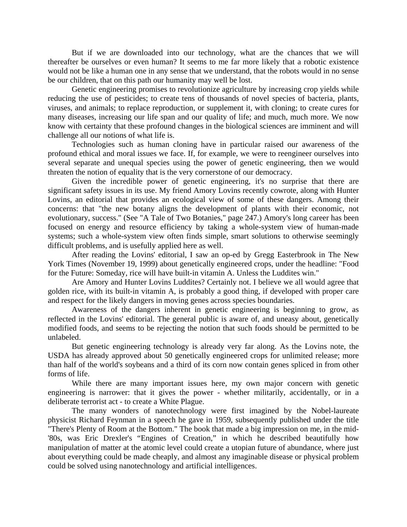But if we are downloaded into our technology, what are the chances that we will thereafter be ourselves or even human? It seems to me far more likely that a robotic existence would not be like a human one in any sense that we understand, that the robots would in no sense be our children, that on this path our humanity may well be lost.

Genetic engineering promises to revolutionize agriculture by increasing crop yields while reducing the use of pesticides; to create tens of thousands of novel species of bacteria, plants, viruses, and animals; to replace reproduction, or supplement it, with cloning; to create cures for many diseases, increasing our life span and our quality of life; and much, much more. We now know with certainty that these profound changes in the biological sciences are imminent and will challenge all our notions of what life is.

Technologies such as human cloning have in particular raised our awareness of the profound ethical and moral issues we face. If, for example, we were to reengineer ourselves into several separate and unequal species using the power of genetic engineering, then we would threaten the notion of equality that is the very cornerstone of our democracy.

Given the incredible power of genetic engineering, it's no surprise that there are significant safety issues in its use. My friend Amory Lovins recently cowrote, along with Hunter Lovins, an editorial that provides an ecological view of some of these dangers. Among their concerns: that "the new botany aligns the development of plants with their economic, not evolutionary, success." (See "A Tale of Two Botanies," page 247.) Amory's long career has been focused on energy and resource efficiency by taking a whole-system view of human-made systems; such a whole-system view often finds simple, smart solutions to otherwise seemingly difficult problems, and is usefully applied here as well.

After reading the Lovins' editorial, I saw an op-ed by Gregg Easterbrook in The New York Times (November 19, 1999) about genetically engineered crops, under the headline: "Food for the Future: Someday, rice will have built-in vitamin A. Unless the Luddites win."

Are Amory and Hunter Lovins Luddites? Certainly not. I believe we all would agree that golden rice, with its built-in vitamin A, is probably a good thing, if developed with proper care and respect for the likely dangers in moving genes across species boundaries.

Awareness of the dangers inherent in genetic engineering is beginning to grow, as reflected in the Lovins' editorial. The general public is aware of, and uneasy about, genetically modified foods, and seems to be rejecting the notion that such foods should be permitted to be unlabeled.

But genetic engineering technology is already very far along. As the Lovins note, the USDA has already approved about 50 genetically engineered crops for unlimited release; more than half of the world's soybeans and a third of its corn now contain genes spliced in from other forms of life.

While there are many important issues here, my own major concern with genetic engineering is narrower: that it gives the power - whether militarily, accidentally, or in a deliberate terrorist act - to create a White Plague.

The many wonders of nanotechnology were first imagined by the Nobel-laureate physicist Richard Feynman in a speech he gave in 1959, subsequently published under the title "There's Plenty of Room at the Bottom." The book that made a big impression on me, in the mid- '80s, was Eric Drexler's "Engines of Creation," in which he described beautifully how manipulation of matter at the atomic level could create a utopian future of abundance, where just about everything could be made cheaply, and almost any imaginable disease or physical problem could be solved using nanotechnology and artificial intelligences.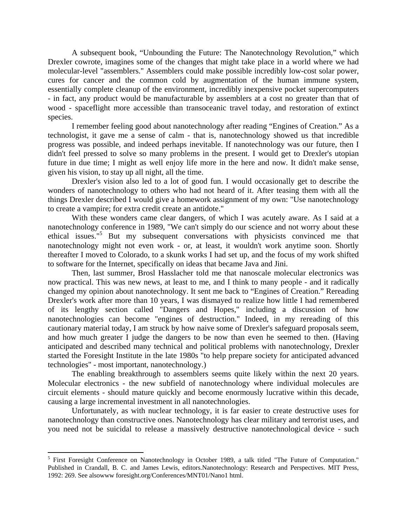A subsequent book, "Unbounding the Future: The Nanotechnology Revolution," which Drexler cowrote, imagines some of the changes that might take place in a world where we had molecular-level "assemblers." Assemblers could make possible incredibly low-cost solar power, cures for cancer and the common cold by augmentation of the human immune system, essentially complete cleanup of the environment, incredibly inexpensive pocket supercomputers - in fact, any product would be manufacturable by assemblers at a cost no greater than that of wood - spaceflight more accessible than transoceanic travel today, and restoration of extinct species.

I remember feeling good about nanotechnology after reading "Engines of Creation." As a technologist, it gave me a sense of calm - that is, nanotechnology showed us that incredible progress was possible, and indeed perhaps inevitable. If nanotechnology was our future, then I didn't feel pressed to solve so many problems in the present. I would get to Drexler's utopian future in due time; I might as well enjoy life more in the here and now. It didn't make sense, given his vision, to stay up all night, all the time.

Drexler's vision also led to a lot of good fun. I would occasionally get to describe the wonders of nanotechnology to others who had not heard of it. After teasing them with all the things Drexler described I would give a homework assignment of my own: "Use nanotechnology to create a vampire; for extra credit create an antidote."

With these wonders came clear dangers, of which I was acutely aware. As I said at a nanotechnology conference in 1989, "We can't simply do our science and not worry about these ethical issues."5 But my subsequent conversations with physicists convinced me that nanotechnology might not even work - or, at least, it wouldn't work anytime soon. Shortly thereafter I moved to Colorado, to a skunk works I had set up, and the focus of my work shifted to software for the Internet, specifically on ideas that became Java and Jini.

Then, last summer, Brosl Hasslacher told me that nanoscale molecular electronics was now practical. This was new news, at least to me, and I think to many people - and it radically changed my opinion about nanotechnology. It sent me back to "Engines of Creation." Rereading Drexler's work after more than 10 years, I was dismayed to realize how little I had remembered of its lengthy section called "Dangers and Hopes," including a discussion of how nanotechnologies can become "engines of destruction." Indeed, in my rereading of this cautionary material today, I am struck by how naive some of Drexler's safeguard proposals seem, and how much greater I judge the dangers to be now than even he seemed to then. (Having anticipated and described many technical and political problems with nanotechnology, Drexler started the Foresight Institute in the late 1980s "to help prepare society for anticipated advanced technologies" - most important, nanotechnology.)

The enabling breakthrough to assemblers seems quite likely within the next 20 years. Molecular electronics - the new subfield of nanotechnology where individual molecules are circuit elements - should mature quickly and become enormously lucrative within this decade, causing a large incremental investment in all nanotechnologies.

Unfortunately, as with nuclear technology, it is far easier to create destructive uses for nanotechnology than constructive ones. Nanotechnology has clear military and terrorist uses, and you need not be suicidal to release a massively destructive nanotechnological device - such

l

<sup>&</sup>lt;sup>5</sup> First Foresight Conference on Nanotechnology in October 1989, a talk titled "The Future of Computation." Published in Crandall, B. C. and James Lewis, editors.Nanotechnology: Research and Perspectives. MIT Press, 1992: 269. See alsowww foresight.org/Conferences/MNT01/Nano1 html.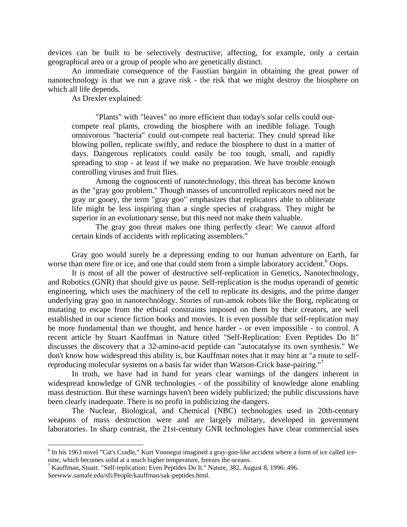devices can be built to be selectively destructive, affecting, for example, only a certain geographical area or a group of people who are genetically distinct.

An immediate consequence of the Faustian bargain in obtaining the great power of nanotechnology is that we run a grave risk - the risk that we might destroy the biosphere on which all life depends.

As Drexler explained:

 $\overline{\phantom{a}}$ 

"Plants" with "leaves" no more efficient than today's solar cells could outcompete real plants, crowding the biosphere with an inedible foliage. Tough omnivorous "bacteria" could out-compete real bacteria: They could spread like blowing pollen, replicate swiftly, and reduce the biosphere to dust in a matter of days. Dangerous replicators could easily be too tough, small, and rapidly spreading to stop - at least if we make no preparation. We have trouble enough controlling viruses and fruit flies.

Among the cognoscenti of nanotechnology, this threat has become known as the "gray goo problem." Though masses of uncontrolled replicators need not be gray or gooey, the term "gray goo" emphasizes that replicators able to obliterate life might be less inspiring than a single species of crabgrass. They might be superior in an evolutionary sense, but this need not make them valuable.

The gray goo threat makes one thing perfectly clear: We cannot afford certain kinds of accidents with replicating assemblers."

Gray goo would surely be a depressing ending to our human adventure on Earth, far worse than mere fire or ice, and one that could stem from a simple laboratory accident.<sup>6</sup> Oops.

It is most of all the power of destructive self-replication in Genetics, Nanotechnology, and Robotics (GNR) that should give us pause. Self-replication is the modus operandi of genetic engineering, which uses the machinery of the cell to replicate its designs, and the prime danger underlying gray goo in nanotechnology. Stories of run-amok robots like the Borg, replicating or mutating to escape from the ethical constraints imposed on them by their creators, are well established in our science fiction books and movies. It is even possible that self-replication may be more fundamental than we thought, and hence harder - or even impossible - to control. A recent article by Stuart Kauffman in Nature titled "Self-Replication: Even Peptides Do It" discusses the discovery that a 32-amino-acid peptide can "autocatalyse its own synthesis." We don't know how widespread this ability is, but Kauffman notes that it may hint at "a route to selfreproducing molecular systems on a basis far wider than Watson-Crick base-pairing."7

In truth, we have had in hand for years clear warnings of the dangers inherent in widespread knowledge of GNR technologies - of the possibility of knowledge alone enabling mass destruction. But these warnings haven't been widely publicized; the public discussions have been clearly inadequate. There is no profit in publicizing the dangers.

The Nuclear, Biological, and Chemical (NBC) technologies used in 20th-century weapons of mass destruction were and are largely military, developed in government laboratories. In sharp contrast, the 21st-century GNR technologies have clear commercial uses

 $6$  In his 1963 novel "Cat's Cradle," Kurt Vonnegut imagined a gray-goo-like accident where a form of ice called ice-<br>nine, which becomes solid at a much higher temperature, freezes the oceans.

<sup>&</sup>lt;sup>7</sup> Kauffman, Stuart. "Self-replication: Even Peptides Do It." Nature, 382, August 8, 1996: 496. Seewww.santafe.edu/sfi/People/kauffman/sak-peptides.html.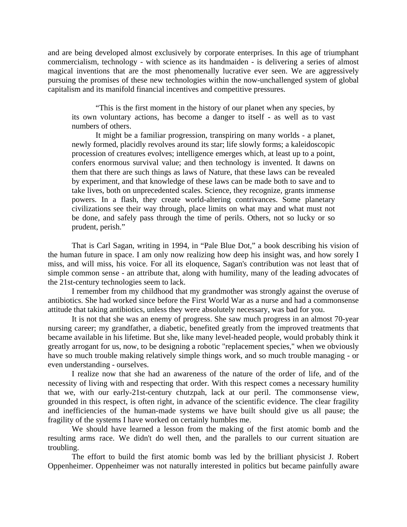and are being developed almost exclusively by corporate enterprises. In this age of triumphant commercialism, technology - with science as its handmaiden - is delivering a series of almost magical inventions that are the most phenomenally lucrative ever seen. We are aggressively pursuing the promises of these new technologies within the now-unchallenged system of global capitalism and its manifold financial incentives and competitive pressures.

"This is the first moment in the history of our planet when any species, by its own voluntary actions, has become a danger to itself - as well as to vast numbers of others.

It might be a familiar progression, transpiring on many worlds - a planet, newly formed, placidly revolves around its star; life slowly forms; a kaleidoscopic procession of creatures evolves; intelligence emerges which, at least up to a point, confers enormous survival value; and then technology is invented. It dawns on them that there are such things as laws of Nature, that these laws can be revealed by experiment, and that knowledge of these laws can be made both to save and to take lives, both on unprecedented scales. Science, they recognize, grants immense powers. In a flash, they create world-altering contrivances. Some planetary civilizations see their way through, place limits on what may and what must not be done, and safely pass through the time of perils. Others, not so lucky or so prudent, perish."

That is Carl Sagan, writing in 1994, in "Pale Blue Dot," a book describing his vision of the human future in space. I am only now realizing how deep his insight was, and how sorely I miss, and will miss, his voice. For all its eloquence, Sagan's contribution was not least that of simple common sense - an attribute that, along with humility, many of the leading advocates of the 21st-century technologies seem to lack.

I remember from my childhood that my grandmother was strongly against the overuse of antibiotics. She had worked since before the First World War as a nurse and had a commonsense attitude that taking antibiotics, unless they were absolutely necessary, was bad for you.

It is not that she was an enemy of progress. She saw much progress in an almost 70-year nursing career; my grandfather, a diabetic, benefited greatly from the improved treatments that became available in his lifetime. But she, like many level-headed people, would probably think it greatly arrogant for us, now, to be designing a robotic "replacement species," when we obviously have so much trouble making relatively simple things work, and so much trouble managing - or even understanding - ourselves.

I realize now that she had an awareness of the nature of the order of life, and of the necessity of living with and respecting that order. With this respect comes a necessary humility that we, with our early-21st-century chutzpah, lack at our peril. The commonsense view, grounded in this respect, is often right, in advance of the scientific evidence. The clear fragility and inefficiencies of the human-made systems we have built should give us all pause; the fragility of the systems I have worked on certainly humbles me.

We should have learned a lesson from the making of the first atomic bomb and the resulting arms race. We didn't do well then, and the parallels to our current situation are troubling.

The effort to build the first atomic bomb was led by the brilliant physicist J. Robert Oppenheimer. Oppenheimer was not naturally interested in politics but became painfully aware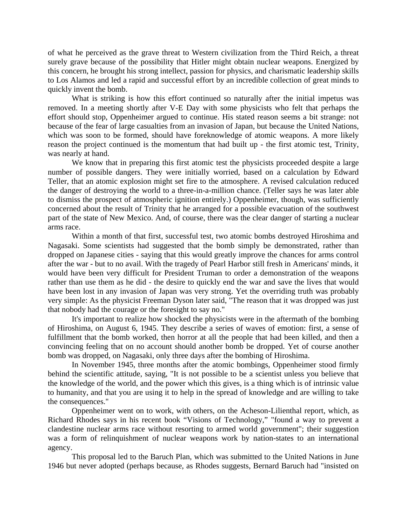of what he perceived as the grave threat to Western civilization from the Third Reich, a threat surely grave because of the possibility that Hitler might obtain nuclear weapons. Energized by this concern, he brought his strong intellect, passion for physics, and charismatic leadership skills to Los Alamos and led a rapid and successful effort by an incredible collection of great minds to quickly invent the bomb.

What is striking is how this effort continued so naturally after the initial impetus was removed. In a meeting shortly after V-E Day with some physicists who felt that perhaps the effort should stop, Oppenheimer argued to continue. His stated reason seems a bit strange: not because of the fear of large casualties from an invasion of Japan, but because the United Nations, which was soon to be formed, should have foreknowledge of atomic weapons. A more likely reason the project continued is the momentum that had built up - the first atomic test, Trinity, was nearly at hand.

We know that in preparing this first atomic test the physicists proceeded despite a large number of possible dangers. They were initially worried, based on a calculation by Edward Teller, that an atomic explosion might set fire to the atmosphere. A revised calculation reduced the danger of destroying the world to a three-in-a-million chance. (Teller says he was later able to dismiss the prospect of atmospheric ignition entirely.) Oppenheimer, though, was sufficiently concerned about the result of Trinity that he arranged for a possible evacuation of the southwest part of the state of New Mexico. And, of course, there was the clear danger of starting a nuclear arms race.

Within a month of that first, successful test, two atomic bombs destroyed Hiroshima and Nagasaki. Some scientists had suggested that the bomb simply be demonstrated, rather than dropped on Japanese cities - saying that this would greatly improve the chances for arms control after the war - but to no avail. With the tragedy of Pearl Harbor still fresh in Americans' minds, it would have been very difficult for President Truman to order a demonstration of the weapons rather than use them as he did - the desire to quickly end the war and save the lives that would have been lost in any invasion of Japan was very strong. Yet the overriding truth was probably very simple: As the physicist Freeman Dyson later said, "The reason that it was dropped was just that nobody had the courage or the foresight to say no."

It's important to realize how shocked the physicists were in the aftermath of the bombing of Hiroshima, on August 6, 1945. They describe a series of waves of emotion: first, a sense of fulfillment that the bomb worked, then horror at all the people that had been killed, and then a convincing feeling that on no account should another bomb be dropped. Yet of course another bomb was dropped, on Nagasaki, only three days after the bombing of Hiroshima.

In November 1945, three months after the atomic bombings, Oppenheimer stood firmly behind the scientific attitude, saying, "It is not possible to be a scientist unless you believe that the knowledge of the world, and the power which this gives, is a thing which is of intrinsic value to humanity, and that you are using it to help in the spread of knowledge and are willing to take the consequences."

Oppenheimer went on to work, with others, on the Acheson-Lilienthal report, which, as Richard Rhodes says in his recent book "Visions of Technology," "found a way to prevent a clandestine nuclear arms race without resorting to armed world government"; their suggestion was a form of relinquishment of nuclear weapons work by nation-states to an international agency.

This proposal led to the Baruch Plan, which was submitted to the United Nations in June 1946 but never adopted (perhaps because, as Rhodes suggests, Bernard Baruch had "insisted on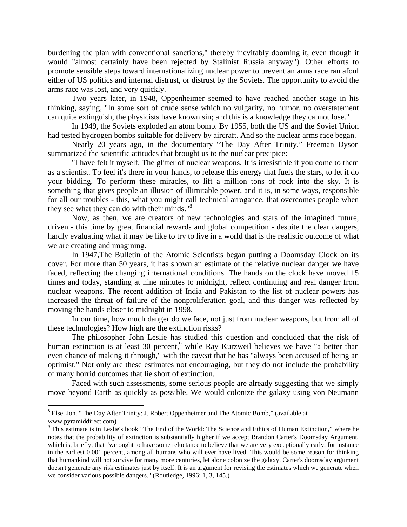burdening the plan with conventional sanctions," thereby inevitably dooming it, even though it would "almost certainly have been rejected by Stalinist Russia anyway"). Other efforts to promote sensible steps toward internationalizing nuclear power to prevent an arms race ran afoul either of US politics and internal distrust, or distrust by the Soviets. The opportunity to avoid the arms race was lost, and very quickly.

Two years later, in 1948, Oppenheimer seemed to have reached another stage in his thinking, saying, "In some sort of crude sense which no vulgarity, no humor, no overstatement can quite extinguish, the physicists have known sin; and this is a knowledge they cannot lose."

In 1949, the Soviets exploded an atom bomb. By 1955, both the US and the Soviet Union had tested hydrogen bombs suitable for delivery by aircraft. And so the nuclear arms race began.

Nearly 20 years ago, in the documentary "The Day After Trinity," Freeman Dyson summarized the scientific attitudes that brought us to the nuclear precipice:

"I have felt it myself. The glitter of nuclear weapons. It is irresistible if you come to them as a scientist. To feel it's there in your hands, to release this energy that fuels the stars, to let it do your bidding. To perform these miracles, to lift a million tons of rock into the sky. It is something that gives people an illusion of illimitable power, and it is, in some ways, responsible for all our troubles - this, what you might call technical arrogance, that overcomes people when they see what they can do with their minds."<sup>8</sup>

Now, as then, we are creators of new technologies and stars of the imagined future, driven - this time by great financial rewards and global competition - despite the clear dangers, hardly evaluating what it may be like to try to live in a world that is the realistic outcome of what we are creating and imagining.

In 1947,The Bulletin of the Atomic Scientists began putting a Doomsday Clock on its cover. For more than 50 years, it has shown an estimate of the relative nuclear danger we have faced, reflecting the changing international conditions. The hands on the clock have moved 15 times and today, standing at nine minutes to midnight, reflect continuing and real danger from nuclear weapons. The recent addition of India and Pakistan to the list of nuclear powers has increased the threat of failure of the nonproliferation goal, and this danger was reflected by moving the hands closer to midnight in 1998.

In our time, how much danger do we face, not just from nuclear weapons, but from all of these technologies? How high are the extinction risks?

The philosopher John Leslie has studied this question and concluded that the risk of human extinction is at least 30 percent,<sup>9</sup> while Ray Kurzweil believes we have "a better than even chance of making it through," with the caveat that he has "always been accused of being an optimist." Not only are these estimates not encouraging, but they do not include the probability of many horrid outcomes that lie short of extinction.

Faced with such assessments, some serious people are already suggesting that we simply move beyond Earth as quickly as possible. We would colonize the galaxy using von Neumann

<sup>&</sup>lt;sup>8</sup> Else, Jon. "The Day After Trinity: J. Robert Oppenheimer and The Atomic Bomb," (available at www.pyramiddirect.com)<br><sup>9</sup> This estimate is in Leslie's book "The End of the World: The Science and Ethics of Human Extinction," where he

notes that the probability of extinction is substantially higher if we accept Brandon Carter's Doomsday Argument, which is, briefly, that "we ought to have some reluctance to believe that we are very exceptionally early, for instance in the earliest 0.001 percent, among all humans who will ever have lived. This would be some reason for thinking that humankind will not survive for many more centuries, let alone colonize the galaxy. Carter's doomsday argument doesn't generate any risk estimates just by itself. It is an argument for revising the estimates which we generate when we consider various possible dangers." (Routledge, 1996: 1, 3, 145.)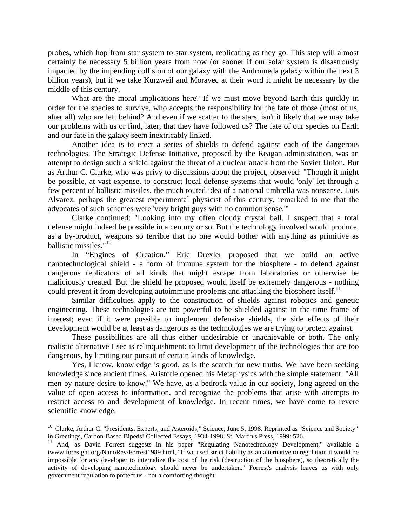probes, which hop from star system to star system, replicating as they go. This step will almost certainly be necessary 5 billion years from now (or sooner if our solar system is disastrously impacted by the impending collision of our galaxy with the Andromeda galaxy within the next 3 billion years), but if we take Kurzweil and Moravec at their word it might be necessary by the middle of this century.

What are the moral implications here? If we must move beyond Earth this quickly in order for the species to survive, who accepts the responsibility for the fate of those (most of us, after all) who are left behind? And even if we scatter to the stars, isn't it likely that we may take our problems with us or find, later, that they have followed us? The fate of our species on Earth and our fate in the galaxy seem inextricably linked.

Another idea is to erect a series of shields to defend against each of the dangerous technologies. The Strategic Defense Initiative, proposed by the Reagan administration, was an attempt to design such a shield against the threat of a nuclear attack from the Soviet Union. But as Arthur C. Clarke, who was privy to discussions about the project, observed: "Though it might be possible, at vast expense, to construct local defense systems that would 'only' let through a few percent of ballistic missiles, the much touted idea of a national umbrella was nonsense. Luis Alvarez, perhaps the greatest experimental physicist of this century, remarked to me that the advocates of such schemes were 'very bright guys with no common sense.'"

Clarke continued: "Looking into my often cloudy crystal ball, I suspect that a total defense might indeed be possible in a century or so. But the technology involved would produce, as a by-product, weapons so terrible that no one would bother with anything as primitive as ballistic missiles."<sup>10</sup>

In "Engines of Creation," Eric Drexler proposed that we build an active nanotechnological shield - a form of immune system for the biosphere - to defend against dangerous replicators of all kinds that might escape from laboratories or otherwise be maliciously created. But the shield he proposed would itself be extremely dangerous - nothing could prevent it from developing autoimmune problems and attacking the biosphere itself.<sup>11</sup>

Similar difficulties apply to the construction of shields against robotics and genetic engineering. These technologies are too powerful to be shielded against in the time frame of interest; even if it were possible to implement defensive shields, the side effects of their development would be at least as dangerous as the technologies we are trying to protect against.

These possibilities are all thus either undesirable or unachievable or both. The only realistic alternative I see is relinquishment: to limit development of the technologies that are too dangerous, by limiting our pursuit of certain kinds of knowledge.

Yes, I know, knowledge is good, as is the search for new truths. We have been seeking knowledge since ancient times. Aristotle opened his Metaphysics with the simple statement: "All men by nature desire to know." We have, as a bedrock value in our society, long agreed on the value of open access to information, and recognize the problems that arise with attempts to restrict access to and development of knowledge. In recent times, we have come to revere scientific knowledge.

<sup>&</sup>lt;sup>10</sup> Clarke, Arthur C. "Presidents, Experts, and Asteroids," Science, June 5, 1998. Reprinted as "Science and Society" in Greetings, Carbon-Based Bipeds! Collected Essays, 1934-1998. St. Martin's Press, 1999: 526.

<sup>&</sup>lt;sup>11</sup> And, as David Forrest suggests in his paper "Regulating Nanotechnology Development," available a twww.foresight.org/NanoRev/Forrest1989 html, "If we used strict liability as an alternative to regulation it would be impossible for any developer to internalize the cost of the risk (destruction of the biosphere), so theoretically the activity of developing nanotechnology should never be undertaken." Forrest's analysis leaves us with only government regulation to protect us - not a comforting thought.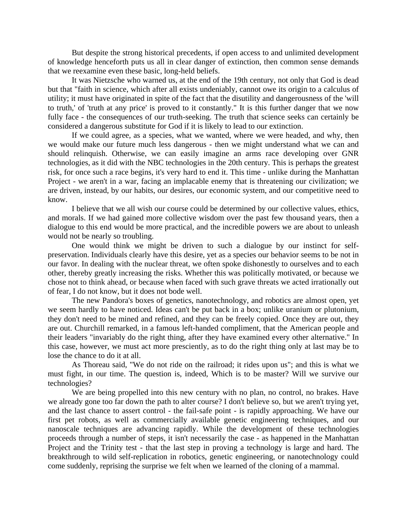But despite the strong historical precedents, if open access to and unlimited development of knowledge henceforth puts us all in clear danger of extinction, then common sense demands that we reexamine even these basic, long-held beliefs.

It was Nietzsche who warned us, at the end of the 19th century, not only that God is dead but that "faith in science, which after all exists undeniably, cannot owe its origin to a calculus of utility; it must have originated in spite of the fact that the disutility and dangerousness of the 'will to truth,' of 'truth at any price' is proved to it constantly." It is this further danger that we now fully face - the consequences of our truth-seeking. The truth that science seeks can certainly be considered a dangerous substitute for God if it is likely to lead to our extinction.

If we could agree, as a species, what we wanted, where we were headed, and why, then we would make our future much less dangerous - then we might understand what we can and should relinquish. Otherwise, we can easily imagine an arms race developing over GNR technologies, as it did with the NBC technologies in the 20th century. This is perhaps the greatest risk, for once such a race begins, it's very hard to end it. This time - unlike during the Manhattan Project - we aren't in a war, facing an implacable enemy that is threatening our civilization; we are driven, instead, by our habits, our desires, our economic system, and our competitive need to know.

I believe that we all wish our course could be determined by our collective values, ethics, and morals. If we had gained more collective wisdom over the past few thousand years, then a dialogue to this end would be more practical, and the incredible powers we are about to unleash would not be nearly so troubling.

One would think we might be driven to such a dialogue by our instinct for selfpreservation. Individuals clearly have this desire, yet as a species our behavior seems to be not in our favor. In dealing with the nuclear threat, we often spoke dishonestly to ourselves and to each other, thereby greatly increasing the risks. Whether this was politically motivated, or because we chose not to think ahead, or because when faced with such grave threats we acted irrationally out of fear, I do not know, but it does not bode well.

The new Pandora's boxes of genetics, nanotechnology, and robotics are almost open, yet we seem hardly to have noticed. Ideas can't be put back in a box; unlike uranium or plutonium, they don't need to be mined and refined, and they can be freely copied. Once they are out, they are out. Churchill remarked, in a famous left-handed compliment, that the American people and their leaders "invariably do the right thing, after they have examined every other alternative." In this case, however, we must act more presciently, as to do the right thing only at last may be to lose the chance to do it at all.

As Thoreau said, "We do not ride on the railroad; it rides upon us"; and this is what we must fight, in our time. The question is, indeed, Which is to be master? Will we survive our technologies?

We are being propelled into this new century with no plan, no control, no brakes. Have we already gone too far down the path to alter course? I don't believe so, but we aren't trying yet, and the last chance to assert control - the fail-safe point - is rapidly approaching. We have our first pet robots, as well as commercially available genetic engineering techniques, and our nanoscale techniques are advancing rapidly. While the development of these technologies proceeds through a number of steps, it isn't necessarily the case - as happened in the Manhattan Project and the Trinity test - that the last step in proving a technology is large and hard. The breakthrough to wild self-replication in robotics, genetic engineering, or nanotechnology could come suddenly, reprising the surprise we felt when we learned of the cloning of a mammal.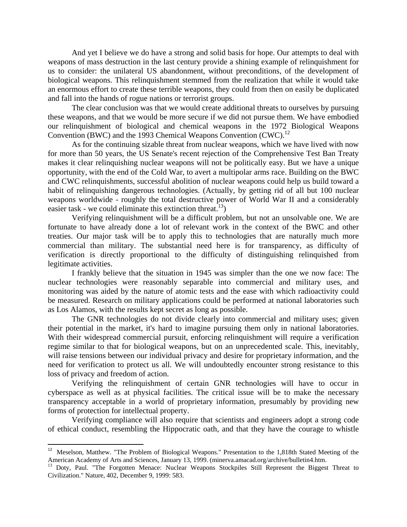And yet I believe we do have a strong and solid basis for hope. Our attempts to deal with weapons of mass destruction in the last century provide a shining example of relinquishment for us to consider: the unilateral US abandonment, without preconditions, of the development of biological weapons. This relinquishment stemmed from the realization that while it would take an enormous effort to create these terrible weapons, they could from then on easily be duplicated and fall into the hands of rogue nations or terrorist groups.

The clear conclusion was that we would create additional threats to ourselves by pursuing these weapons, and that we would be more secure if we did not pursue them. We have embodied our relinquishment of biological and chemical weapons in the 1972 Biological Weapons Convention (BWC) and the 1993 Chemical Weapons Convention (CWC).<sup>12</sup>

As for the continuing sizable threat from nuclear weapons, which we have lived with now for more than 50 years, the US Senate's recent rejection of the Comprehensive Test Ban Treaty makes it clear relinquishing nuclear weapons will not be politically easy. But we have a unique opportunity, with the end of the Cold War, to avert a multipolar arms race. Building on the BWC and CWC relinquishments, successful abolition of nuclear weapons could help us build toward a habit of relinquishing dangerous technologies. (Actually, by getting rid of all but 100 nuclear weapons worldwide - roughly the total destructive power of World War II and a considerably easier task - we could eliminate this extinction threat.<sup>13</sup>)

Verifying relinquishment will be a difficult problem, but not an unsolvable one. We are fortunate to have already done a lot of relevant work in the context of the BWC and other treaties. Our major task will be to apply this to technologies that are naturally much more commercial than military. The substantial need here is for transparency, as difficulty of verification is directly proportional to the difficulty of distinguishing relinquished from legitimate activities.

I frankly believe that the situation in 1945 was simpler than the one we now face: The nuclear technologies were reasonably separable into commercial and military uses, and monitoring was aided by the nature of atomic tests and the ease with which radioactivity could be measured. Research on military applications could be performed at national laboratories such as Los Alamos, with the results kept secret as long as possible.

The GNR technologies do not divide clearly into commercial and military uses; given their potential in the market, it's hard to imagine pursuing them only in national laboratories. With their widespread commercial pursuit, enforcing relinquishment will require a verification regime similar to that for biological weapons, but on an unprecedented scale. This, inevitably, will raise tensions between our individual privacy and desire for proprietary information, and the need for verification to protect us all. We will undoubtedly encounter strong resistance to this loss of privacy and freedom of action.

Verifying the relinquishment of certain GNR technologies will have to occur in cyberspace as well as at physical facilities. The critical issue will be to make the necessary transparency acceptable in a world of proprietary information, presumably by providing new forms of protection for intellectual property.

Verifying compliance will also require that scientists and engineers adopt a strong code of ethical conduct, resembling the Hippocratic oath, and that they have the courage to whistle

<sup>&</sup>lt;sup>12</sup> Meselson, Matthew. "The Problem of Biological Weapons." Presentation to the 1,818th Stated Meeting of the American Academy of Arts and Sciences, January 13, 1999. (minerva.amacad.org/archive/bulletin4.htm.

American Academy of Arts and Sciences, January 1999. (minervalsed)<br><sup>13</sup> Doty, Paul. "The Forgotten Menace: Nuclear Weapons Stockpiles Still Represent the Biggest Threat to Civilization." Nature, 402, December 9, 1999: 583.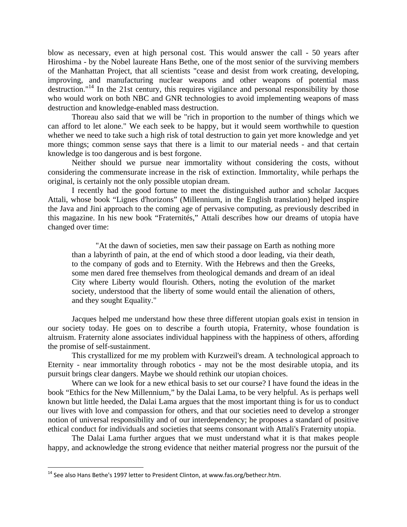blow as necessary, even at high personal cost. This would answer the call - 50 years after Hiroshima - by the Nobel laureate Hans Bethe, one of the most senior of the surviving members of the Manhattan Project, that all scientists "cease and desist from work creating, developing, improving, and manufacturing nuclear weapons and other weapons of potential mass destruction."<sup>14</sup> In the 21st century, this requires vigilance and personal responsibility by those who would work on both NBC and GNR technologies to avoid implementing weapons of mass destruction and knowledge-enabled mass destruction.

Thoreau also said that we will be "rich in proportion to the number of things which we can afford to let alone." We each seek to be happy, but it would seem worthwhile to question whether we need to take such a high risk of total destruction to gain yet more knowledge and yet more things; common sense says that there is a limit to our material needs - and that certain knowledge is too dangerous and is best forgone.

Neither should we pursue near immortality without considering the costs, without considering the commensurate increase in the risk of extinction. Immortality, while perhaps the original, is certainly not the only possible utopian dream.

I recently had the good fortune to meet the distinguished author and scholar Jacques Attali, whose book "Lignes d'horizons" (Millennium, in the English translation) helped inspire the Java and Jini approach to the coming age of pervasive computing, as previously described in this magazine. In his new book "Fraternités," Attali describes how our dreams of utopia have changed over time:

"At the dawn of societies, men saw their passage on Earth as nothing more than a labyrinth of pain, at the end of which stood a door leading, via their death, to the company of gods and to Eternity. With the Hebrews and then the Greeks, some men dared free themselves from theological demands and dream of an ideal City where Liberty would flourish. Others, noting the evolution of the market society, understood that the liberty of some would entail the alienation of others, and they sought Equality."

Jacques helped me understand how these three different utopian goals exist in tension in our society today. He goes on to describe a fourth utopia, Fraternity, whose foundation is altruism. Fraternity alone associates individual happiness with the happiness of others, affording the promise of self-sustainment.

This crystallized for me my problem with Kurzweil's dream. A technological approach to Eternity - near immortality through robotics - may not be the most desirable utopia, and its pursuit brings clear dangers. Maybe we should rethink our utopian choices.

Where can we look for a new ethical basis to set our course? I have found the ideas in the book "Ethics for the New Millennium," by the Dalai Lama, to be very helpful. As is perhaps well known but little heeded, the Dalai Lama argues that the most important thing is for us to conduct our lives with love and compassion for others, and that our societies need to develop a stronger notion of universal responsibility and of our interdependency; he proposes a standard of positive ethical conduct for individuals and societies that seems consonant with Attali's Fraternity utopia.

The Dalai Lama further argues that we must understand what it is that makes people happy, and acknowledge the strong evidence that neither material progress nor the pursuit of the

 $14$  See also Hans Bethe's 1997 letter to President Clinton, at www.fas.org/bethecr.htm.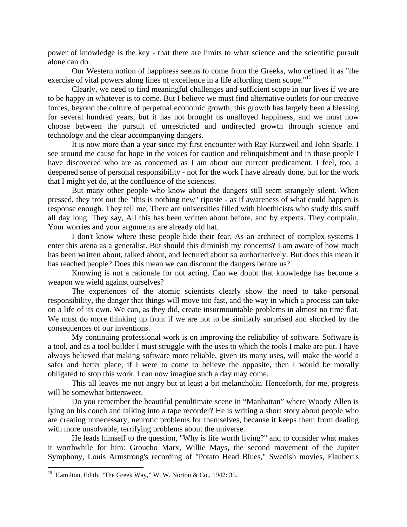power of knowledge is the key - that there are limits to what science and the scientific pursuit alone can do.

Our Western notion of happiness seems to come from the Greeks, who defined it as "the exercise of vital powers along lines of excellence in a life affording them scope."<sup>15</sup>

Clearly, we need to find meaningful challenges and sufficient scope in our lives if we are to be happy in whatever is to come. But I believe we must find alternative outlets for our creative forces, beyond the culture of perpetual economic growth; this growth has largely been a blessing for several hundred years, but it has not brought us unalloyed happiness, and we must now choose between the pursuit of unrestricted and undirected growth through science and technology and the clear accompanying dangers.

It is now more than a year since my first encounter with Ray Kurzweil and John Searle. I see around me cause for hope in the voices for caution and relinquishment and in those people I have discovered who are as concerned as I am about our current predicament. I feel, too, a deepened sense of personal responsibility - not for the work I have already done, but for the work that I might yet do, at the confluence of the sciences.

But many other people who know about the dangers still seem strangely silent. When pressed, they trot out the "this is nothing new" riposte - as if awareness of what could happen is response enough. They tell me, There are universities filled with bioethicists who study this stuff all day long. They say, All this has been written about before, and by experts. They complain, Your worries and your arguments are already old hat.

I don't know where these people hide their fear. As an architect of complex systems I enter this arena as a generalist. But should this diminish my concerns? I am aware of how much has been written about, talked about, and lectured about so authoritatively. But does this mean it has reached people? Does this mean we can discount the dangers before us?

Knowing is not a rationale for not acting. Can we doubt that knowledge has become a weapon we wield against ourselves?

The experiences of the atomic scientists clearly show the need to take personal responsibility, the danger that things will move too fast, and the way in which a process can take on a life of its own. We can, as they did, create insurmountable problems in almost no time flat. We must do more thinking up front if we are not to be similarly surprised and shocked by the consequences of our inventions.

My continuing professional work is on improving the reliability of software. Software is a tool, and as a tool builder I must struggle with the uses to which the tools I make are put. I have always believed that making software more reliable, given its many uses, will make the world a safer and better place; if I were to come to believe the opposite, then I would be morally obligated to stop this work. I can now imagine such a day may come.

This all leaves me not angry but at least a bit melancholic. Henceforth, for me, progress will be somewhat bittersweet.

Do you remember the beautiful penultimate scene in "Manhattan" where Woody Allen is lying on his couch and talking into a tape recorder? He is writing a short story about people who are creating unnecessary, neurotic problems for themselves, because it keeps them from dealing with more unsolvable, terrifying problems about the universe.

He leads himself to the question, "Why is life worth living?" and to consider what makes it worthwhile for him: Groucho Marx, Willie Mays, the second movement of the Jupiter Symphony, Louis Armstrong's recording of "Potato Head Blues," Swedish movies, Flaubert's

<sup>&</sup>lt;sup>15</sup> Hamilton, Edith, "The Greek Way," W. W. Norton & Co., 1942: 35.